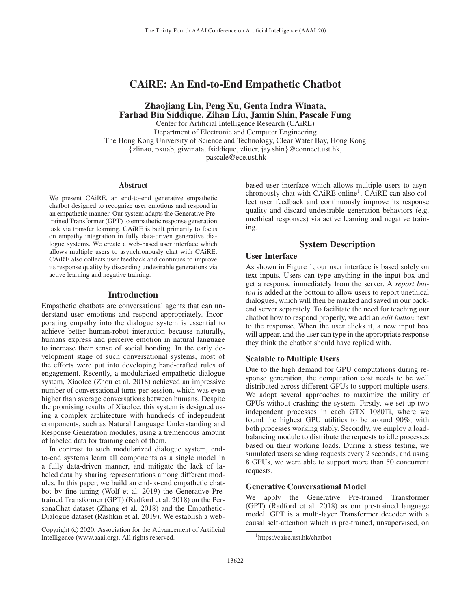# CAiRE: An End-to-End Empathetic Chatbot

Zhaojiang Lin, Peng Xu, Genta Indra Winata, Farhad Bin Siddique, Zihan Liu, Jamin Shin, Pascale Fung

Center for Artificial Intelligence Research (CAiRE) Department of Electronic and Computer Engineering The Hong Kong University of Science and Technology, Clear Water Bay, Hong Kong {zlinao, pxuab, giwinata, fsiddique, zliucr, jay.shin}@connect.ust.hk, pascale@ece.ust.hk

#### Abstract

We present CAiRE, an end-to-end generative empathetic chatbot designed to recognize user emotions and respond in an empathetic manner. Our system adapts the Generative Pretrained Transformer (GPT) to empathetic response generation task via transfer learning. CAiRE is built primarily to focus on empathy integration in fully data-driven generative dialogue systems. We create a web-based user interface which allows multiple users to asynchronously chat with CAiRE. CAiRE also collects user feedback and continues to improve its response quality by discarding undesirable generations via active learning and negative training.

## Introduction

Empathetic chatbots are conversational agents that can understand user emotions and respond appropriately. Incorporating empathy into the dialogue system is essential to achieve better human-robot interaction because naturally, humans express and perceive emotion in natural language to increase their sense of social bonding. In the early development stage of such conversational systems, most of the efforts were put into developing hand-crafted rules of engagement. Recently, a modularized empathetic dialogue system, XiaoIce (Zhou et al. 2018) achieved an impressive number of conversational turns per session, which was even higher than average conversations between humans. Despite the promising results of XiaoIce, this system is designed using a complex architecture with hundreds of independent components, such as Natural Language Understanding and Response Generation modules, using a tremendous amount of labeled data for training each of them.

In contrast to such modularized dialogue system, endto-end systems learn all components as a single model in a fully data-driven manner, and mitigate the lack of labeled data by sharing representations among different modules. In this paper, we build an end-to-end empathetic chatbot by fine-tuning (Wolf et al. 2019) the Generative Pretrained Transformer (GPT) (Radford et al. 2018) on the PersonaChat dataset (Zhang et al. 2018) and the Empathetic-Dialogue dataset (Rashkin et al. 2019). We establish a web-

based user interface which allows multiple users to asynchronously chat with CAiRE online<sup>1</sup>. CAiRE can also collect user feedback and continuously improve its response quality and discard undesirable generation behaviors (e.g. unethical responses) via active learning and negative training.

# System Description

# User Interface

As shown in Figure 1, our user interface is based solely on text inputs. Users can type anything in the input box and get a response immediately from the server. A *report button* is added at the bottom to allow users to report unethical dialogues, which will then be marked and saved in our backend server separately. To facilitate the need for teaching our chatbot how to respond properly, we add an *edit button* next to the response. When the user clicks it, a new input box will appear, and the user can type in the appropriate response they think the chatbot should have replied with.

#### Scalable to Multiple Users

Due to the high demand for GPU computations during response generation, the computation cost needs to be well distributed across different GPUs to support multiple users. We adopt several approaches to maximize the utility of GPUs without crashing the system. Firstly, we set up two independent processes in each GTX 1080Ti, where we found the highest GPU utilities to be around 90%, with both processes working stably. Secondly, we employ a loadbalancing module to distribute the requests to idle processes based on their working loads. During a stress testing, we simulated users sending requests every 2 seconds, and using 8 GPUs, we were able to support more than 50 concurrent requests.

# Generative Conversational Model

We apply the Generative Pre-trained Transformer (GPT) (Radford et al. 2018) as our pre-trained language model. GPT is a multi-layer Transformer decoder with a causal self-attention which is pre-trained, unsupervised, on

Copyright  $\odot$  2020, Association for the Advancement of Artificial Intelligence (www.aaai.org). All rights reserved.

<sup>1</sup> https://caire.ust.hk/chatbot